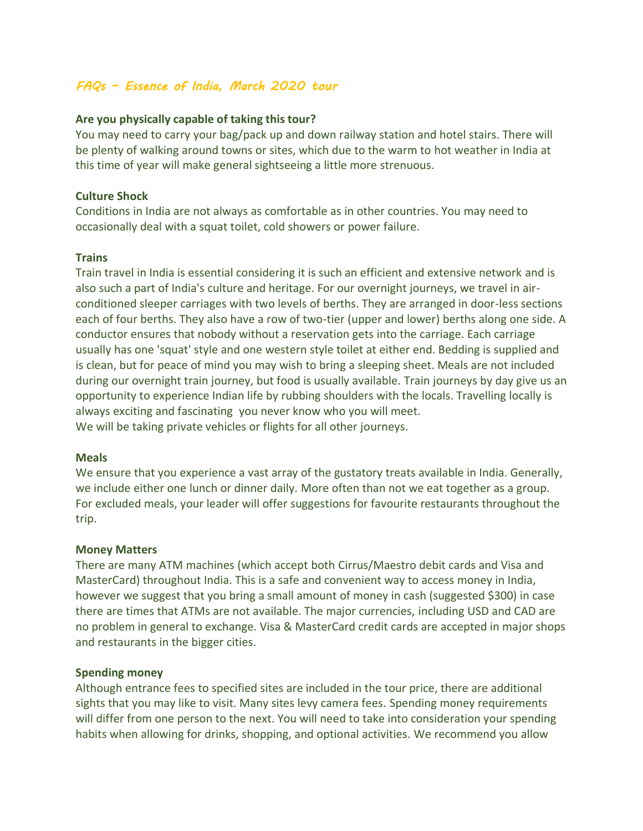# *FAQs – Essence of India, March 2020 tour*

## **Are you physically capable of taking this tour?**

You may need to carry your bag/pack up and down railway station and hotel stairs. There will be plenty of walking around towns or sites, which due to the warm to hot weather in India at this time of year will make general sightseeing a little more strenuous.

### **Culture Shock**

Conditions in India are not always as comfortable as in other countries. You may need to occasionally deal with a squat toilet, cold showers or power failure.

### **Trains**

Train travel in India is essential considering it is such an efficient and extensive network and is also such a part of India's culture and heritage. For our overnight journeys, we travel in airconditioned sleeper carriages with two levels of berths. They are arranged in door-less sections each of four berths. They also have a row of two-tier (upper and lower) berths along one side. A conductor ensures that nobody without a reservation gets into the carriage. Each carriage usually has one 'squat' style and one western style toilet at either end. Bedding is supplied and is clean, but for peace of mind you may wish to bring a sleeping sheet. Meals are not included during our overnight train journey, but food is usually available. Train journeys by day give us an opportunity to experience Indian life by rubbing shoulders with the locals. Travelling locally is always exciting and fascinating you never know who you will meet. We will be taking private vehicles or flights for all other journeys.

#### **Meals**

We ensure that you experience a vast array of the gustatory treats available in India. Generally, we include either one lunch or dinner daily. More often than not we eat together as a group. For excluded meals, your leader will offer suggestions for favourite restaurants throughout the trip.

#### **Money Matters**

There are many ATM machines (which accept both Cirrus/Maestro debit cards and Visa and MasterCard) throughout India. This is a safe and convenient way to access money in India, however we suggest that you bring a small amount of money in cash (suggested \$300) in case there are times that ATMs are not available. The major currencies, including USD and CAD are no problem in general to exchange. Visa & MasterCard credit cards are accepted in major shops and restaurants in the bigger cities.

#### **Spending money**

Although entrance fees to specified sites are included in the tour price, there are additional sights that you may like to visit. Many sites levy camera fees. Spending money requirements will differ from one person to the next. You will need to take into consideration your spending habits when allowing for drinks, shopping, and optional activities. We recommend you allow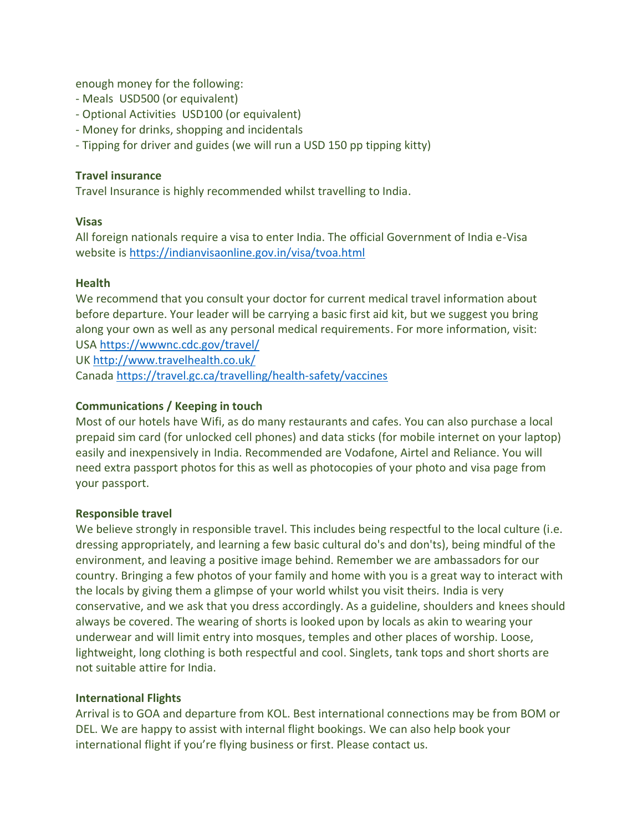enough money for the following:

- Meals USD500 (or equivalent)
- Optional Activities USD100 (or equivalent)
- Money for drinks, shopping and incidentals
- Tipping for driver and guides (we will run a USD 150 pp tipping kitty)

## **Travel insurance**

Travel Insurance is highly recommended whilst travelling to India.

# **Visas**

All foreign nationals require a visa to enter India. The official Government of India e-Visa website is <https://indianvisaonline.gov.in/visa/tvoa.html>

### **Health**

We recommend that you consult your doctor for current medical travel information about before departure. Your leader will be carrying a basic first aid kit, but we suggest you bring along your own as well as any personal medical requirements. For more information, visit: USA <https://wwwnc.cdc.gov/travel/>

UK <http://www.travelhealth.co.uk/>

Canada [https://travel.gc.ca/travelling/health-safety/vaccines](https://wwwnc.cdc.gov/travel/)

# **Communications / Keeping in touch**

Most of our hotels have Wifi, as do many restaurants and cafes. You can also purchase a local prepaid sim card (for unlocked cell phones) and data sticks (for mobile internet on your laptop) easily and inexpensively in India. Recommended are Vodafone, Airtel and Reliance. You will need extra passport photos for this as well as photocopies of your photo and visa page from your passport.

# **Responsible travel**

We believe strongly in responsible travel. This includes being respectful to the local culture (i.e. dressing appropriately, and learning a few basic cultural do's and don'ts), being mindful of the environment, and leaving a positive image behind. Remember we are ambassadors for our country. Bringing a few photos of your family and home with you is a great way to interact with the locals by giving them a glimpse of your world whilst you visit theirs. India is very conservative, and we ask that you dress accordingly. As a guideline, shoulders and knees should always be covered. The wearing of shorts is looked upon by locals as akin to wearing your underwear and will limit entry into mosques, temples and other places of worship. Loose, lightweight, long clothing is both respectful and cool. Singlets, tank tops and short shorts are not suitable attire for India.

# **International Flights**

Arrival is to GOA and departure from KOL. Best international connections may be from BOM or DEL. We are happy to assist with internal flight bookings. We can also help book your international flight if you're flying business or first. Please contact us.